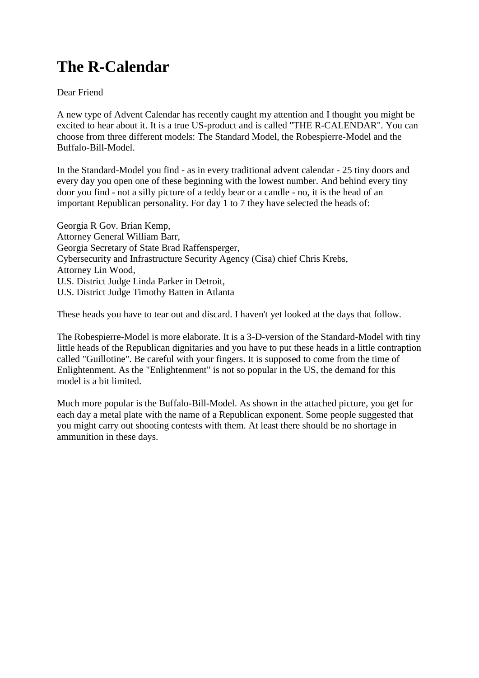## **The R-Calendar**

Dear Friend

A new type of Advent Calendar has recently caught my attention and I thought you might be excited to hear about it. It is a true US-product and is called "THE R-CALENDAR". You can choose from three different models: The Standard Model, the Robespierre-Model and the Buffalo-Bill-Model.

In the Standard-Model you find - as in every traditional advent calendar - 25 tiny doors and every day you open one of these beginning with the lowest number. And behind every tiny door you find - not a silly picture of a teddy bear or a candle - no, it is the head of an important Republican personality. For day 1 to 7 they have selected the heads of:

Georgia R Gov. Brian Kemp, Attorney General William Barr, Georgia Secretary of State Brad Raffensperger, Cybersecurity and Infrastructure Security Agency (Cisa) chief Chris Krebs, Attorney Lin Wood, U.S. District Judge Linda Parker in Detroit, U.S. District Judge Timothy Batten in Atlanta

These heads you have to tear out and discard. I haven't yet looked at the days that follow.

The Robespierre-Model is more elaborate. It is a 3-D-version of the Standard-Model with tiny little heads of the Republican dignitaries and you have to put these heads in a little contraption called "Guillotine". Be careful with your fingers. It is supposed to come from the time of Enlightenment. As the "Enlightenment" is not so popular in the US, the demand for this model is a bit limited.

Much more popular is the Buffalo-Bill-Model. As shown in the attached picture, you get for each day a metal plate with the name of a Republican exponent. Some people suggested that you might carry out shooting contests with them. At least there should be no shortage in ammunition in these days.